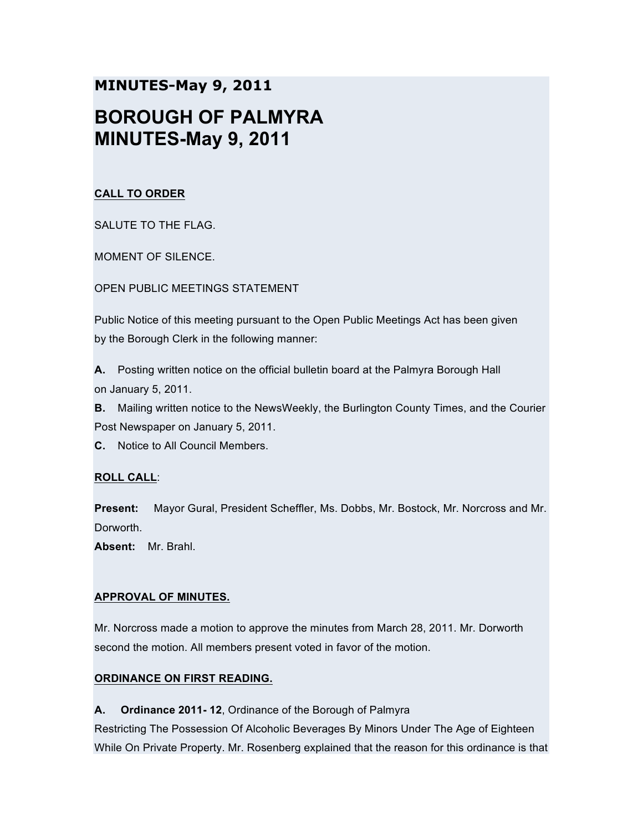# **MINUTES-May 9, 2011 BOROUGH OF PALMYRA MINUTES-May 9, 2011**

# **CALL TO ORDER**

SALUTE TO THE FLAG.

MOMENT OF SILENCE.

OPEN PUBLIC MEETINGS STATEMENT

Public Notice of this meeting pursuant to the Open Public Meetings Act has been given by the Borough Clerk in the following manner:

**A.** Posting written notice on the official bulletin board at the Palmyra Borough Hall on January 5, 2011.

**B.** Mailing written notice to the NewsWeekly, the Burlington County Times, and the Courier Post Newspaper on January 5, 2011.

**C.** Notice to All Council Members.

# **ROLL CALL**:

**Present:** Mayor Gural, President Scheffler, Ms. Dobbs, Mr. Bostock, Mr. Norcross and Mr. Dorworth.

**Absent:** Mr. Brahl.

# **APPROVAL OF MINUTES.**

Mr. Norcross made a motion to approve the minutes from March 28, 2011. Mr. Dorworth second the motion. All members present voted in favor of the motion.

# **ORDINANCE ON FIRST READING.**

**A. Ordinance 2011- 12**, Ordinance of the Borough of Palmyra

Restricting The Possession Of Alcoholic Beverages By Minors Under The Age of Eighteen While On Private Property. Mr. Rosenberg explained that the reason for this ordinance is that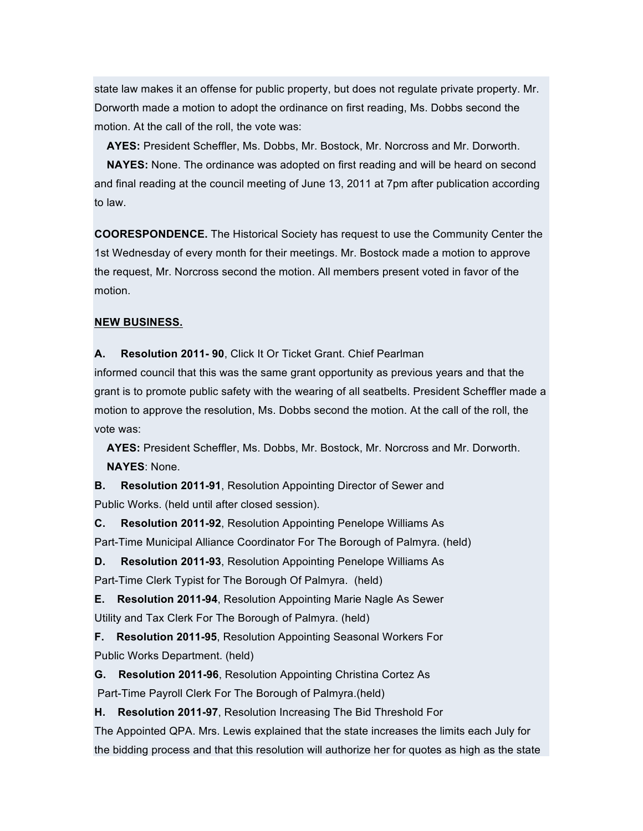state law makes it an offense for public property, but does not regulate private property. Mr. Dorworth made a motion to adopt the ordinance on first reading, Ms. Dobbs second the motion. At the call of the roll, the vote was:

**AYES:** President Scheffler, Ms. Dobbs, Mr. Bostock, Mr. Norcross and Mr. Dorworth.

**NAYES:** None. The ordinance was adopted on first reading and will be heard on second and final reading at the council meeting of June 13, 2011 at 7pm after publication according to law.

**COORESPONDENCE.** The Historical Society has request to use the Community Center the 1st Wednesday of every month for their meetings. Mr. Bostock made a motion to approve the request, Mr. Norcross second the motion. All members present voted in favor of the motion.

### **NEW BUSINESS.**

**A. Resolution 2011- 90**, Click It Or Ticket Grant. Chief Pearlman

informed council that this was the same grant opportunity as previous years and that the grant is to promote public safety with the wearing of all seatbelts. President Scheffler made a motion to approve the resolution, Ms. Dobbs second the motion. At the call of the roll, the vote was:

**AYES:** President Scheffler, Ms. Dobbs, Mr. Bostock, Mr. Norcross and Mr. Dorworth. **NAYES**: None.

**B. Resolution 2011-91**, Resolution Appointing Director of Sewer and Public Works. (held until after closed session).

**C. Resolution 2011-92**, Resolution Appointing Penelope Williams As Part-Time Municipal Alliance Coordinator For The Borough of Palmyra. (held)

**D. Resolution 2011-93**, Resolution Appointing Penelope Williams As Part-Time Clerk Typist for The Borough Of Palmyra. (held)

**E. Resolution 2011-94**, Resolution Appointing Marie Nagle As Sewer Utility and Tax Clerk For The Borough of Palmyra. (held)

**F. Resolution 2011-95**, Resolution Appointing Seasonal Workers For Public Works Department. (held)

**G. Resolution 2011-96**, Resolution Appointing Christina Cortez As Part-Time Payroll Clerk For The Borough of Palmyra.(held)

**H. Resolution 2011-97**, Resolution Increasing The Bid Threshold For

The Appointed QPA. Mrs. Lewis explained that the state increases the limits each July for the bidding process and that this resolution will authorize her for quotes as high as the state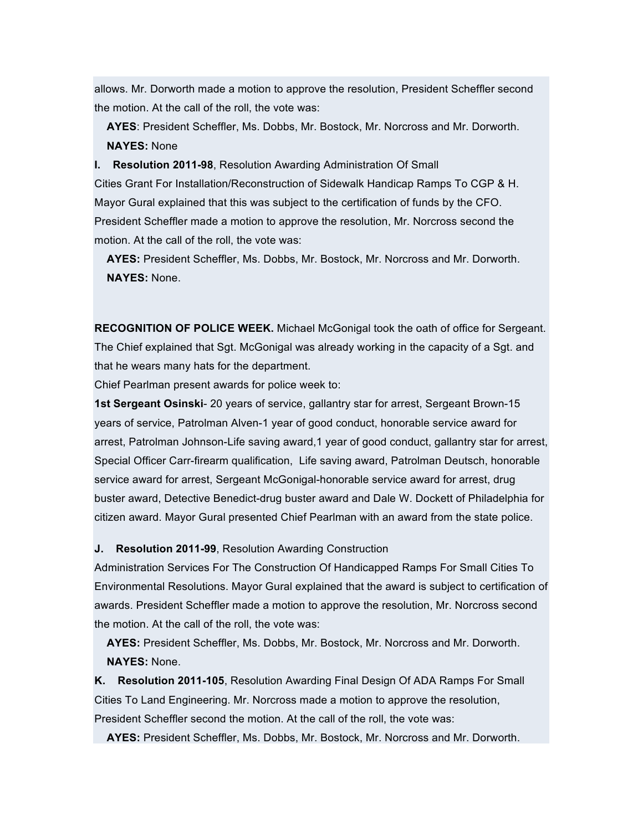allows. Mr. Dorworth made a motion to approve the resolution, President Scheffler second the motion. At the call of the roll, the vote was:

**AYES**: President Scheffler, Ms. Dobbs, Mr. Bostock, Mr. Norcross and Mr. Dorworth. **NAYES:** None

**I. Resolution 2011-98**, Resolution Awarding Administration Of Small Cities Grant For Installation/Reconstruction of Sidewalk Handicap Ramps To CGP & H. Mayor Gural explained that this was subject to the certification of funds by the CFO. President Scheffler made a motion to approve the resolution, Mr. Norcross second the motion. At the call of the roll, the vote was:

**AYES:** President Scheffler, Ms. Dobbs, Mr. Bostock, Mr. Norcross and Mr. Dorworth. **NAYES:** None.

**RECOGNITION OF POLICE WEEK.** Michael McGonigal took the oath of office for Sergeant. The Chief explained that Sgt. McGonigal was already working in the capacity of a Sgt. and that he wears many hats for the department.

Chief Pearlman present awards for police week to:

**1st Sergeant Osinski**- 20 years of service, gallantry star for arrest, Sergeant Brown-15 years of service, Patrolman Alven-1 year of good conduct, honorable service award for arrest, Patrolman Johnson-Life saving award,1 year of good conduct, gallantry star for arrest, Special Officer Carr-firearm qualification, Life saving award, Patrolman Deutsch, honorable service award for arrest, Sergeant McGonigal-honorable service award for arrest, drug buster award, Detective Benedict-drug buster award and Dale W. Dockett of Philadelphia for citizen award. Mayor Gural presented Chief Pearlman with an award from the state police.

**J. Resolution 2011-99**, Resolution Awarding Construction

Administration Services For The Construction Of Handicapped Ramps For Small Cities To Environmental Resolutions. Mayor Gural explained that the award is subject to certification of awards. President Scheffler made a motion to approve the resolution, Mr. Norcross second the motion. At the call of the roll, the vote was:

**AYES:** President Scheffler, Ms. Dobbs, Mr. Bostock, Mr. Norcross and Mr. Dorworth. **NAYES:** None.

**K. Resolution 2011-105**, Resolution Awarding Final Design Of ADA Ramps For Small Cities To Land Engineering. Mr. Norcross made a motion to approve the resolution, President Scheffler second the motion. At the call of the roll, the vote was:

**AYES:** President Scheffler, Ms. Dobbs, Mr. Bostock, Mr. Norcross and Mr. Dorworth.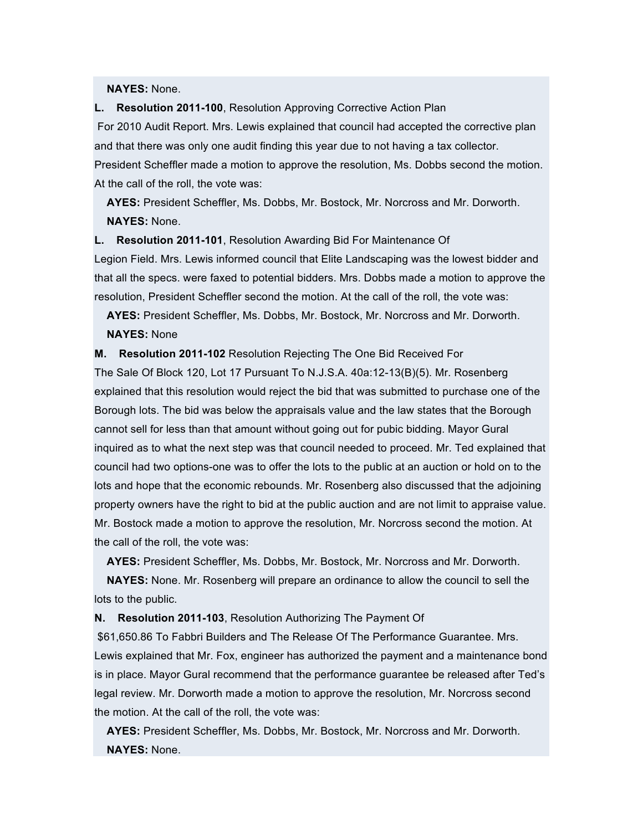#### **NAYES:** None.

#### **L. Resolution 2011-100**, Resolution Approving Corrective Action Plan

For 2010 Audit Report. Mrs. Lewis explained that council had accepted the corrective plan and that there was only one audit finding this year due to not having a tax collector. President Scheffler made a motion to approve the resolution, Ms. Dobbs second the motion. At the call of the roll, the vote was:

**AYES:** President Scheffler, Ms. Dobbs, Mr. Bostock, Mr. Norcross and Mr. Dorworth. **NAYES:** None.

**L. Resolution 2011-101**, Resolution Awarding Bid For Maintenance Of

Legion Field. Mrs. Lewis informed council that Elite Landscaping was the lowest bidder and that all the specs. were faxed to potential bidders. Mrs. Dobbs made a motion to approve the resolution, President Scheffler second the motion. At the call of the roll, the vote was:

**AYES:** President Scheffler, Ms. Dobbs, Mr. Bostock, Mr. Norcross and Mr. Dorworth. **NAYES:** None

**M. Resolution 2011-102** Resolution Rejecting The One Bid Received For

The Sale Of Block 120, Lot 17 Pursuant To N.J.S.A. 40a:12-13(B)(5). Mr. Rosenberg explained that this resolution would reject the bid that was submitted to purchase one of the Borough lots. The bid was below the appraisals value and the law states that the Borough cannot sell for less than that amount without going out for pubic bidding. Mayor Gural inquired as to what the next step was that council needed to proceed. Mr. Ted explained that council had two options-one was to offer the lots to the public at an auction or hold on to the lots and hope that the economic rebounds. Mr. Rosenberg also discussed that the adjoining property owners have the right to bid at the public auction and are not limit to appraise value. Mr. Bostock made a motion to approve the resolution, Mr. Norcross second the motion. At the call of the roll, the vote was:

**AYES:** President Scheffler, Ms. Dobbs, Mr. Bostock, Mr. Norcross and Mr. Dorworth.

**NAYES:** None. Mr. Rosenberg will prepare an ordinance to allow the council to sell the lots to the public.

**N. Resolution 2011-103**, Resolution Authorizing The Payment Of

\$61,650.86 To Fabbri Builders and The Release Of The Performance Guarantee. Mrs. Lewis explained that Mr. Fox, engineer has authorized the payment and a maintenance bond is in place. Mayor Gural recommend that the performance guarantee be released after Ted's legal review. Mr. Dorworth made a motion to approve the resolution, Mr. Norcross second the motion. At the call of the roll, the vote was:

**AYES:** President Scheffler, Ms. Dobbs, Mr. Bostock, Mr. Norcross and Mr. Dorworth. **NAYES:** None.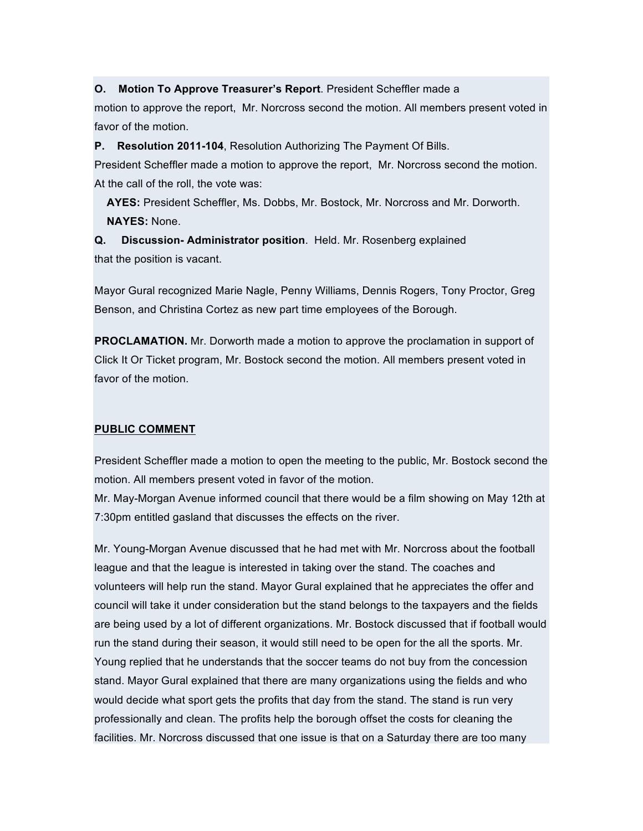**O. Motion To Approve Treasurer's Report**. President Scheffler made a

motion to approve the report, Mr. Norcross second the motion. All members present voted in favor of the motion.

**P. Resolution 2011-104**, Resolution Authorizing The Payment Of Bills.

President Scheffler made a motion to approve the report, Mr. Norcross second the motion. At the call of the roll, the vote was:

**AYES:** President Scheffler, Ms. Dobbs, Mr. Bostock, Mr. Norcross and Mr. Dorworth. **NAYES:** None.

**Q. Discussion- Administrator position**. Held. Mr. Rosenberg explained that the position is vacant.

Mayor Gural recognized Marie Nagle, Penny Williams, Dennis Rogers, Tony Proctor, Greg Benson, and Christina Cortez as new part time employees of the Borough.

**PROCLAMATION.** Mr. Dorworth made a motion to approve the proclamation in support of Click It Or Ticket program, Mr. Bostock second the motion. All members present voted in favor of the motion.

## **PUBLIC COMMENT**

President Scheffler made a motion to open the meeting to the public, Mr. Bostock second the motion. All members present voted in favor of the motion.

Mr. May-Morgan Avenue informed council that there would be a film showing on May 12th at 7:30pm entitled gasland that discusses the effects on the river.

Mr. Young-Morgan Avenue discussed that he had met with Mr. Norcross about the football league and that the league is interested in taking over the stand. The coaches and volunteers will help run the stand. Mayor Gural explained that he appreciates the offer and council will take it under consideration but the stand belongs to the taxpayers and the fields are being used by a lot of different organizations. Mr. Bostock discussed that if football would run the stand during their season, it would still need to be open for the all the sports. Mr. Young replied that he understands that the soccer teams do not buy from the concession stand. Mayor Gural explained that there are many organizations using the fields and who would decide what sport gets the profits that day from the stand. The stand is run very professionally and clean. The profits help the borough offset the costs for cleaning the facilities. Mr. Norcross discussed that one issue is that on a Saturday there are too many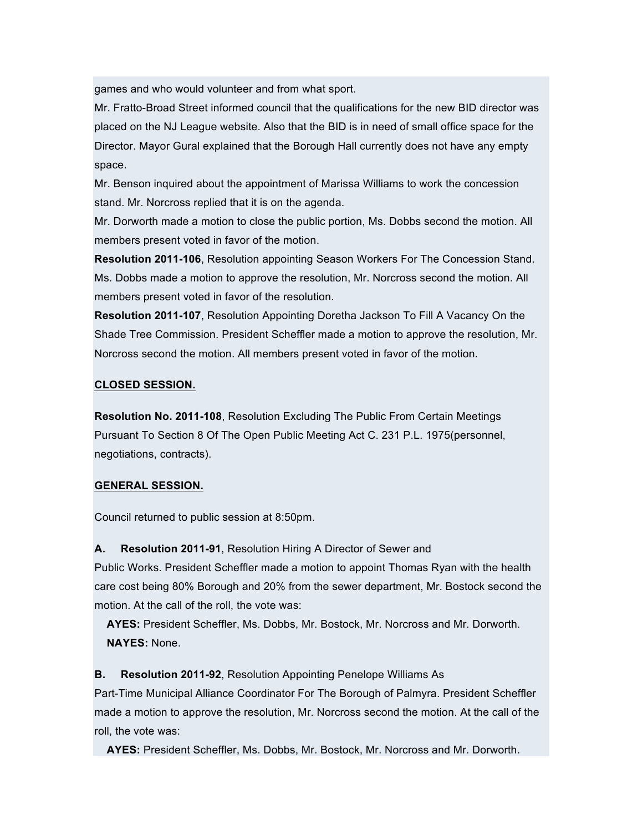games and who would volunteer and from what sport.

Mr. Fratto-Broad Street informed council that the qualifications for the new BID director was placed on the NJ League website. Also that the BID is in need of small office space for the Director. Mayor Gural explained that the Borough Hall currently does not have any empty space.

Mr. Benson inquired about the appointment of Marissa Williams to work the concession stand. Mr. Norcross replied that it is on the agenda.

Mr. Dorworth made a motion to close the public portion, Ms. Dobbs second the motion. All members present voted in favor of the motion.

**Resolution 2011-106**, Resolution appointing Season Workers For The Concession Stand. Ms. Dobbs made a motion to approve the resolution, Mr. Norcross second the motion. All members present voted in favor of the resolution.

**Resolution 2011-107**, Resolution Appointing Doretha Jackson To Fill A Vacancy On the Shade Tree Commission. President Scheffler made a motion to approve the resolution, Mr. Norcross second the motion. All members present voted in favor of the motion.

# **CLOSED SESSION.**

**Resolution No. 2011-108**, Resolution Excluding The Public From Certain Meetings Pursuant To Section 8 Of The Open Public Meeting Act C. 231 P.L. 1975(personnel, negotiations, contracts).

# **GENERAL SESSION.**

Council returned to public session at 8:50pm.

**A. Resolution 2011-91**, Resolution Hiring A Director of Sewer and Public Works. President Scheffler made a motion to appoint Thomas Ryan with the health care cost being 80% Borough and 20% from the sewer department, Mr. Bostock second the motion. At the call of the roll, the vote was:

**AYES:** President Scheffler, Ms. Dobbs, Mr. Bostock, Mr. Norcross and Mr. Dorworth. **NAYES:** None.

**B. Resolution 2011-92**, Resolution Appointing Penelope Williams As

Part-Time Municipal Alliance Coordinator For The Borough of Palmyra. President Scheffler made a motion to approve the resolution, Mr. Norcross second the motion. At the call of the roll, the vote was:

**AYES:** President Scheffler, Ms. Dobbs, Mr. Bostock, Mr. Norcross and Mr. Dorworth.